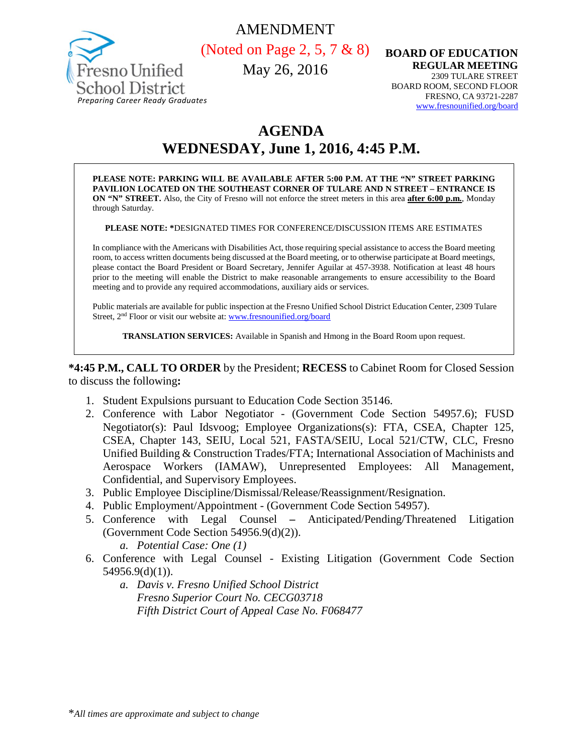



(Noted on Page 2, 5, 7 & 8)

May 26, 2016

**BOARD OF EDUCATION REGULAR MEETING** 2309 TULARE STREET BOARD ROOM, SECOND FLOOR FRESNO, CA 93721-2287<br>www.fresnounified.org/board

# **AGENDA**

**WEDNESDAY, June 1, 2016, 4:45 P.M.**

**PLEASE NOTE: PARKING WILL BE AVAILABLE AFTER 5:00 P.M. AT THE "N" STREET PARKING PAVILION LOCATED ON THE SOUTHEAST CORNER OF TULARE AND N STREET – ENTRANCE IS ON "N" STREET.** Also, the City of Fresno will not enforce the street meters in this area **after 6:00 p.m.**, Monday through Saturday.

**PLEASE NOTE: \***DESIGNATED TIMES FOR CONFERENCE/DISCUSSION ITEMS ARE ESTIMATES

In compliance with the Americans with Disabilities Act, those requiring special assistance to access the Board meeting room, to access written documents being discussed at the Board meeting, or to otherwise participate at Board meetings, please contact the Board President or Board Secretary, Jennifer Aguilar at 457-3938. Notification at least 48 hours prior to the meeting will enable the District to make reasonable arrangements to ensure accessibility to the Board meeting and to provide any required accommodations, auxiliary aids or services.

Public materials are available for public inspection at the Fresno Unified School District Education Center, 2309 Tulare Street, 2nd Floor or visit our website at: [www.fresnounified.org/board](http://www.fresnounified.org/board)

**TRANSLATION SERVICES:** Available in Spanish and Hmong in the Board Room upon request.

**\*4:45 P.M., CALL TO ORDER** by the President; **RECESS** to Cabinet Room for Closed Session to discuss the following**:**

- 1. Student Expulsions pursuant to Education Code Section 35146.
- 2. Conference with Labor Negotiator (Government Code Section 54957.6); FUSD Negotiator(s): Paul Idsvoog; Employee Organizations(s): FTA, CSEA, Chapter 125, CSEA, Chapter 143, SEIU, Local 521, FASTA/SEIU, Local 521/CTW, CLC, Fresno Unified Building & Construction Trades/FTA; International Association of Machinists and Aerospace Workers (IAMAW), Unrepresented Employees: All Management, Confidential, and Supervisory Employees.
- 3. Public Employee Discipline/Dismissal/Release/Reassignment/Resignation.
- 4. Public Employment/Appointment (Government Code Section 54957).
- 5. Conference with Legal Counsel **–** Anticipated/Pending/Threatened Litigation (Government Code Section 54956.9(d)(2)).
	- *a. Potential Case: One (1)*
- 6. Conference with Legal Counsel Existing Litigation (Government Code Section 54956.9(d)(1)).
	- *a. Davis v. Fresno Unified School District Fresno Superior Court No. CECG03718 Fifth District Court of Appeal Case No. F068477*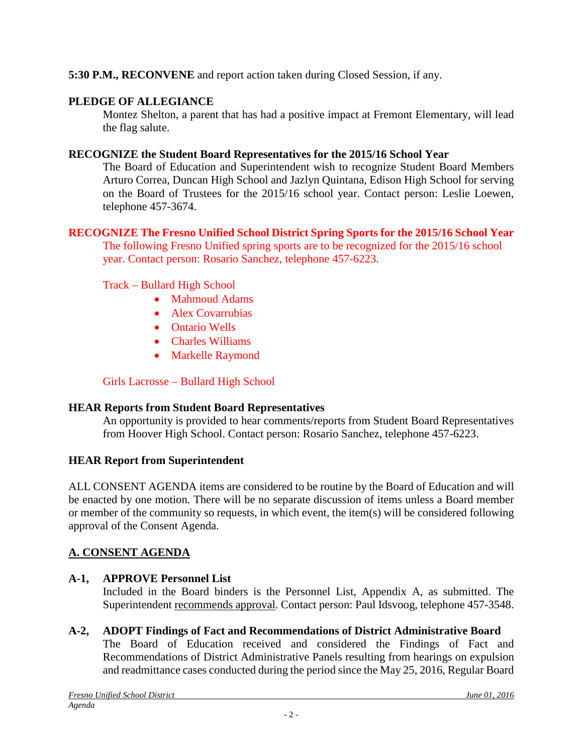## **5:30 P.M., RECONVENE** and report action taken during Closed Session, if any.

# **PLEDGE OF ALLEGIANCE**

Montez Shelton, a parent that has had a positive impact at Fremont Elementary, will lead the flag salute.

## **RECOGNIZE the Student Board Representatives for the 2015/16 School Year**

The Board of Education and Superintendent wish to recognize Student Board Members Arturo Correa, Duncan High School and Jazlyn Quintana, Edison High School for serving on the Board of Trustees for the 2015/16 school year. Contact person: Leslie Loewen, telephone 457-3674.

# **RECOGNIZE The Fresno Unified School District Spring Sports for the 2015/16 School Year**

The following Fresno Unified spring sports are to be recognized for the 2015/16 school year. Contact person: Rosario Sanchez, telephone 457-6223.

## Track – Bullard High School

- Mahmoud Adams
- Alex Covarrubias
- Ontario Wells
- Charles Williams
- Markelle Raymond

# Girls Lacrosse – Bullard High School

## **HEAR Reports from Student Board Representatives**

An opportunity is provided to hear comments/reports from Student Board Representatives from Hoover High School. Contact person: Rosario Sanchez, telephone 457-6223.

## **HEAR Report from Superintendent**

ALL CONSENT AGENDA items are considered to be routine by the Board of Education and will be enacted by one motion. There will be no separate discussion of items unless a Board member or member of the community so requests, in which event, the item(s) will be considered following approval of the Consent Agenda.

# **A. CONSENT AGENDA**

# **A-1, APPROVE Personnel List**

Included in the Board binders is the Personnel List, Appendix A, as submitted. The Superintendent recommends approval. Contact person: Paul Idsvoog, telephone 457-3548.

**A-2, ADOPT Findings of Fact and Recommendations of District Administrative Board** The Board of Education received and considered the Findings of Fact and Recommendations of District Administrative Panels resulting from hearings on expulsion and readmittance cases conducted during the period since the May 25, 2016, Regular Board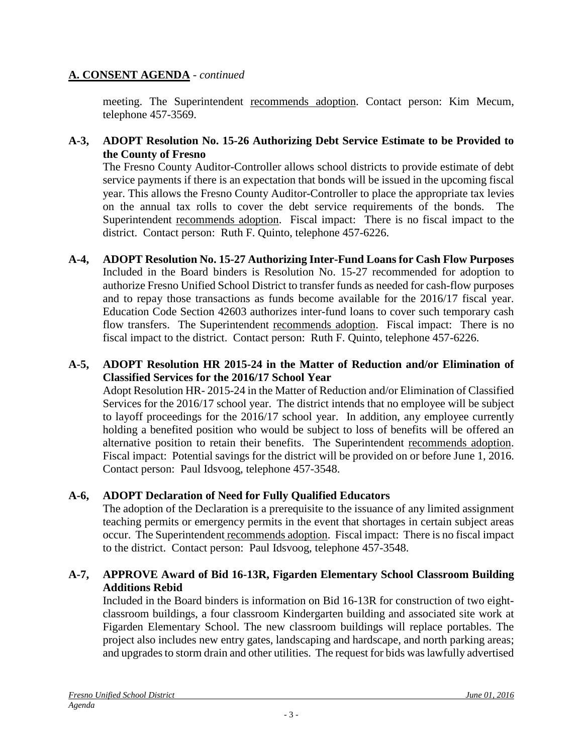## **A. CONSENT AGENDA** - *continued*

meeting. The Superintendent recommends adoption. Contact person: Kim Mecum, telephone 457-3569.

## **A-3, ADOPT Resolution No. 15-26 Authorizing Debt Service Estimate to be Provided to the County of Fresno**

The Fresno County Auditor-Controller allows school districts to provide estimate of debt service payments if there is an expectation that bonds will be issued in the upcoming fiscal year. This allows the Fresno County Auditor-Controller to place the appropriate tax levies on the annual tax rolls to cover the debt service requirements of the bonds. The Superintendent recommends adoption. Fiscal impact: There is no fiscal impact to the district. Contact person: Ruth F. Quinto, telephone 457-6226.

**A-4, ADOPT Resolution No. 15-27 Authorizing Inter-Fund Loans for Cash Flow Purposes** Included in the Board binders is Resolution No. 15-27 recommended for adoption to authorize Fresno Unified School District to transfer funds as needed for cash-flow purposes and to repay those transactions as funds become available for the 2016/17 fiscal year. Education Code Section 42603 authorizes inter-fund loans to cover such temporary cash flow transfers. The Superintendent recommends adoption. Fiscal impact: There is no fiscal impact to the district. Contact person: Ruth F. Quinto, telephone 457-6226.

#### **A-5, ADOPT Resolution HR 2015-24 in the Matter of Reduction and/or Elimination of Classified Services for the 2016/17 School Year**

Adopt Resolution HR- 2015-24 in the Matter of Reduction and/or Elimination of Classified Services for the 2016/17 school year. The district intends that no employee will be subject to layoff proceedings for the 2016/17 school year. In addition, any employee currently holding a benefited position who would be subject to loss of benefits will be offered an alternative position to retain their benefits. The Superintendent recommends adoption. Fiscal impact: Potential savings for the district will be provided on or before June 1, 2016. Contact person: Paul Idsvoog, telephone 457-3548.

## **A-6, ADOPT Declaration of Need for Fully Qualified Educators**

The adoption of the Declaration is a prerequisite to the issuance of any limited assignment teaching permits or emergency permits in the event that shortages in certain subject areas occur. The Superintendent recommends adoption. Fiscal impact: There is no fiscal impact to the district. Contact person: Paul Idsvoog, telephone 457-3548.

#### **A-7, APPROVE Award of Bid 16-13R, Figarden Elementary School Classroom Building Additions Rebid**

Included in the Board binders is information on Bid 16-13R for construction of two eightclassroom buildings, a four classroom Kindergarten building and associated site work at Figarden Elementary School. The new classroom buildings will replace portables. The project also includes new entry gates, landscaping and hardscape, and north parking areas; and upgrades to storm drain and other utilities. The request for bids was lawfully advertised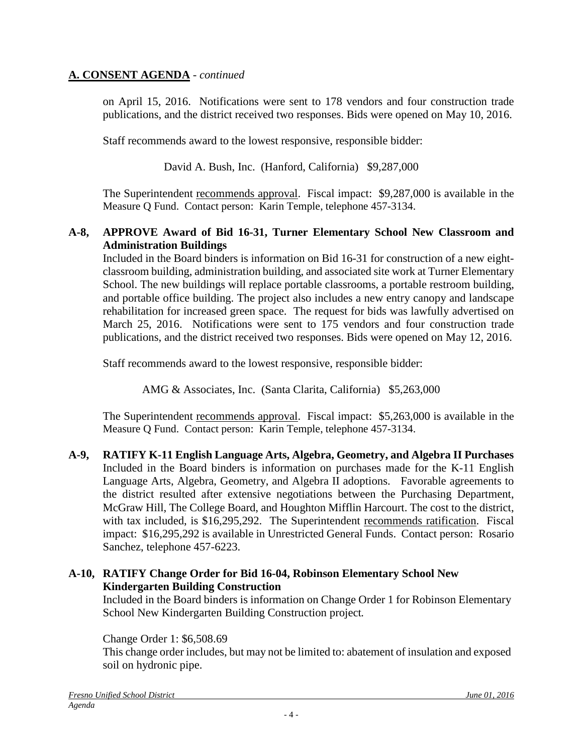## **A. CONSENT AGENDA** - *continued*

on April 15, 2016. Notifications were sent to 178 vendors and four construction trade publications, and the district received two responses. Bids were opened on May 10, 2016.

Staff recommends award to the lowest responsive, responsible bidder:

David A. Bush, Inc. (Hanford, California) \$9,287,000

The Superintendent recommends approval. Fiscal impact: \$9,287,000 is available in the Measure Q Fund. Contact person: Karin Temple, telephone 457-3134.

#### **A-8, APPROVE Award of Bid 16-31, Turner Elementary School New Classroom and Administration Buildings**

Included in the Board binders is information on Bid 16-31 for construction of a new eightclassroom building, administration building, and associated site work at Turner Elementary School. The new buildings will replace portable classrooms, a portable restroom building, and portable office building. The project also includes a new entry canopy and landscape rehabilitation for increased green space. The request for bids was lawfully advertised on March 25, 2016. Notifications were sent to 175 vendors and four construction trade publications, and the district received two responses. Bids were opened on May 12, 2016.

Staff recommends award to the lowest responsive, responsible bidder:

AMG & Associates, Inc. (Santa Clarita, California) \$5,263,000

The Superintendent recommends approval. Fiscal impact: \$5,263,000 is available in the Measure Q Fund. Contact person: Karin Temple, telephone 457-3134.

**A-9, RATIFY K-11 English Language Arts, Algebra, Geometry, and Algebra II Purchases** Included in the Board binders is information on purchases made for the K-11 English Language Arts, Algebra, Geometry, and Algebra II adoptions. Favorable agreements to the district resulted after extensive negotiations between the Purchasing Department, McGraw Hill, The College Board, and Houghton Mifflin Harcourt. The cost to the district, with tax included, is \$16,295,292. The Superintendent recommends ratification. Fiscal impact: \$16,295,292 is available in Unrestricted General Funds. Contact person: Rosario Sanchez, telephone 457-6223.

## **A-10, RATIFY Change Order for Bid 16-04, Robinson Elementary School New Kindergarten Building Construction**

Included in the Board binders is information on Change Order 1 for Robinson Elementary School New Kindergarten Building Construction project*.*

#### Change Order 1: \$6,508.69

This change order includes, but may not be limited to: abatement of insulation and exposed soil on hydronic pipe.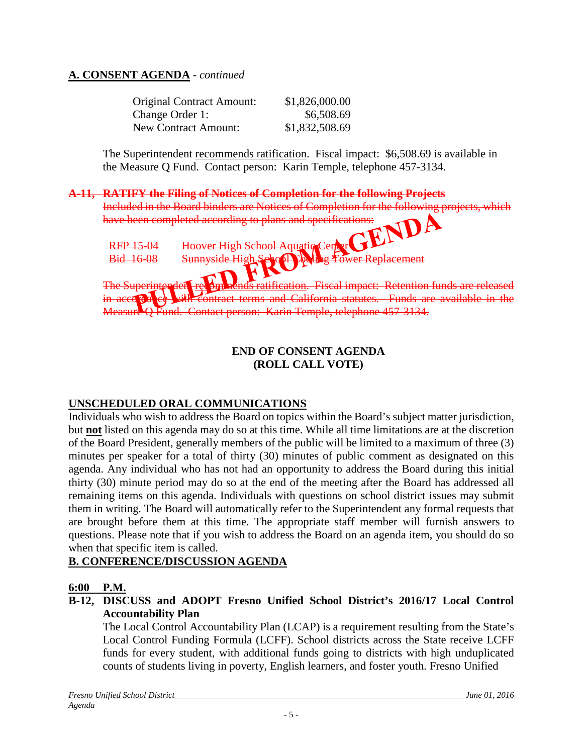## **A. CONSENT AGENDA** - *continued*

| <b>Original Contract Amount:</b> | \$1,826,000.00 |
|----------------------------------|----------------|
| Change Order 1:                  | \$6,508.69     |
| <b>New Contract Amount:</b>      | \$1,832,508.69 |

The Superintendent recommends ratification. Fiscal impact:\$6,508.69 is available in the Measure Q Fund. Contact person: Karin Temple, telephone 457-3134.

#### **A-11, RATIFY the Filing of Notices of Completion for the following Projects**

Included in the Board binders are Notices of Completion for the following projects, which have been completed according to plans and specifications: RFP 15-04 Bid 16-08 School Aquati enlacement tion. Fiscal impact: Retention funds are released and California statutes. Funds are available in the Measure Q Fund. Contact person: Karin Temple, telephone 457-3134.

#### **END OF CONSENT AGENDA (ROLL CALL VOTE)**

## **UNSCHEDULED ORAL COMMUNICATIONS**

Individuals who wish to address the Board on topics within the Board's subject matter jurisdiction, but **not** listed on this agenda may do so at this time. While all time limitations are at the discretion of the Board President, generally members of the public will be limited to a maximum of three (3) minutes per speaker for a total of thirty (30) minutes of public comment as designated on this agenda. Any individual who has not had an opportunity to address the Board during this initial thirty (30) minute period may do so at the end of the meeting after the Board has addressed all remaining items on this agenda. Individuals with questions on school district issues may submit them in writing. The Board will automatically refer to the Superintendent any formal requests that are brought before them at this time. The appropriate staff member will furnish answers to questions. Please note that if you wish to address the Board on an agenda item, you should do so when that specific item is called.

## **B. CONFERENCE/DISCUSSION AGENDA**

#### **6:00 P.M.**

**B-12, DISCUSS and ADOPT Fresno Unified School District's 2016/17 Local Control Accountability Plan**

The Local Control Accountability Plan (LCAP) is a requirement resulting from the State's Local Control Funding Formula (LCFF). School districts across the State receive LCFF funds for every student, with additional funds going to districts with high unduplicated counts of students living in poverty, English learners, and foster youth. Fresno Unified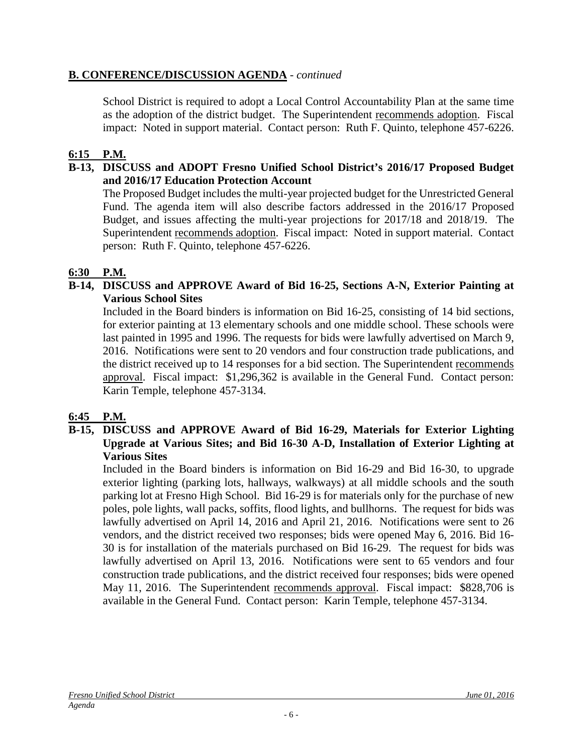## **B. CONFERENCE/DISCUSSION AGENDA** - *continued*

School District is required to adopt a Local Control Accountability Plan at the same time as the adoption of the district budget. The Superintendent recommends adoption. Fiscal impact: Noted in support material. Contact person: Ruth F. Quinto, telephone 457-6226.

## **6:15 P.M.**

#### **B-13, DISCUSS and ADOPT Fresno Unified School District's 2016/17 Proposed Budget and 2016/17 Education Protection Account**

The Proposed Budget includes the multi-year projected budget for the Unrestricted General Fund. The agenda item will also describe factors addressed in the 2016/17 Proposed Budget, and issues affecting the multi-year projections for 2017/18 and 2018/19. The Superintendent recommends adoption. Fiscal impact: Noted in support material. Contact person: Ruth F. Quinto, telephone 457-6226.

#### **6:30 P.M.**

## **B-14, DISCUSS and APPROVE Award of Bid 16-25, Sections A-N, Exterior Painting at Various School Sites**

Included in the Board binders is information on Bid 16-25, consisting of 14 bid sections, for exterior painting at 13 elementary schools and one middle school. These schools were last painted in 1995 and 1996. The requests for bids were lawfully advertised on March 9, 2016. Notifications were sent to 20 vendors and four construction trade publications, and the district received up to 14 responses for a bid section. The Superintendent recommends approval. Fiscal impact: \$1,296,362 is available in the General Fund. Contact person: Karin Temple, telephone 457-3134.

#### **6:45 P.M.**

#### **B-15, DISCUSS and APPROVE Award of Bid 16-29, Materials for Exterior Lighting Upgrade at Various Sites; and Bid 16-30 A-D, Installation of Exterior Lighting at Various Sites**

Included in the Board binders is information on Bid 16-29 and Bid 16-30, to upgrade exterior lighting (parking lots, hallways, walkways) at all middle schools and the south parking lot at Fresno High School. Bid 16-29 is for materials only for the purchase of new poles, pole lights, wall packs, soffits, flood lights, and bullhorns. The request for bids was lawfully advertised on April 14, 2016 and April 21, 2016. Notifications were sent to 26 vendors, and the district received two responses; bids were opened May 6, 2016. Bid 16- 30 is for installation of the materials purchased on Bid 16-29. The request for bids was lawfully advertised on April 13, 2016. Notifications were sent to 65 vendors and four construction trade publications, and the district received four responses; bids were opened May 11, 2016. The Superintendent recommends approval. Fiscal impact: \$828,706 is available in the General Fund. Contact person: Karin Temple, telephone 457-3134.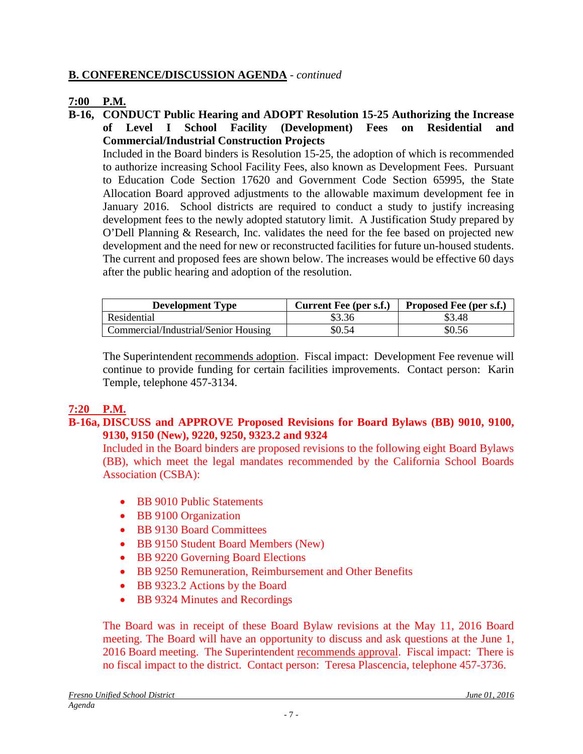## **B. CONFERENCE/DISCUSSION AGENDA** - *continued*

## **7:00 P.M.**

**B-16, CONDUCT Public Hearing and ADOPT Resolution 15-25 Authorizing the Increase of Level I School Facility (Development) Fees on Residential and Commercial/Industrial Construction Projects**

Included in the Board binders is Resolution 15-25, the adoption of which is recommended to authorize increasing School Facility Fees, also known as Development Fees. Pursuant to Education Code Section 17620 and Government Code Section 65995, the State Allocation Board approved adjustments to the allowable maximum development fee in January 2016. School districts are required to conduct a study to justify increasing development fees to the newly adopted statutory limit. A Justification Study prepared by O'Dell Planning & Research, Inc. validates the need for the fee based on projected new development and the need for new or reconstructed facilities for future un-housed students. The current and proposed fees are shown below. The increases would be effective 60 days after the public hearing and adoption of the resolution.

| <b>Development Type</b>              | <b>Current Fee (per s.f.)</b> | <b>Proposed Fee (per s.f.)</b> |
|--------------------------------------|-------------------------------|--------------------------------|
| Residential                          | \$3.36                        | \$3.48                         |
| Commercial/Industrial/Senior Housing | \$0.54                        | \$0.56                         |

The Superintendent recommends adoption. Fiscal impact: Development Fee revenue will continue to provide funding for certain facilities improvements. Contact person: Karin Temple, telephone 457-3134.

#### **7:20 P.M.**

#### **B-16a, DISCUSS and APPROVE Proposed Revisions for Board Bylaws (BB) 9010, 9100, 9130, 9150 (New), 9220, 9250, 9323.2 and 9324**

Included in the Board binders are proposed revisions to the following eight Board Bylaws (BB), which meet the legal mandates recommended by the California School Boards Association (CSBA):

- BB 9010 Public Statements
- BB 9100 Organization
- BB 9130 Board Committees
- BB 9150 Student Board Members (New)
- BB 9220 Governing Board Elections
- BB 9250 Remuneration, Reimbursement and Other Benefits
- BB 9323.2 Actions by the Board
- BB 9324 Minutes and Recordings

The Board was in receipt of these Board Bylaw revisions at the May 11, 2016 Board meeting. The Board will have an opportunity to discuss and ask questions at the June 1, 2016 Board meeting. The Superintendent recommends approval. Fiscal impact: There is no fiscal impact to the district. Contact person: Teresa Plascencia, telephone 457-3736.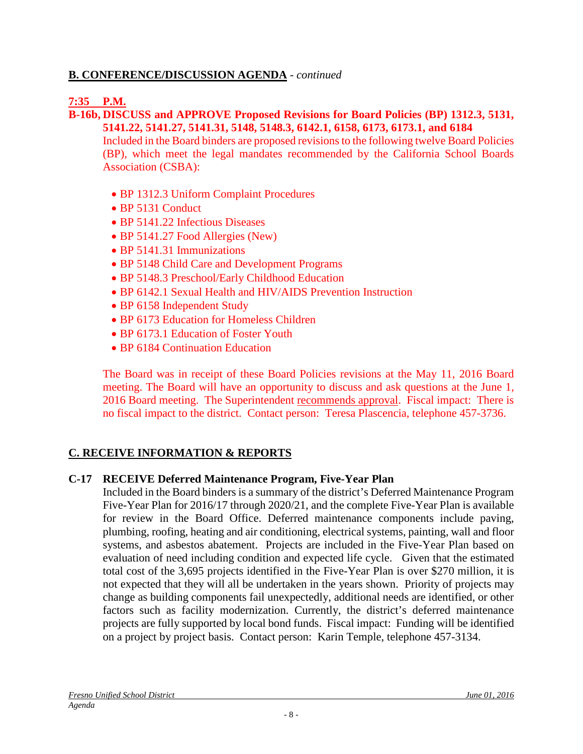## **B. CONFERENCE/DISCUSSION AGENDA** - *continued*

## **7:35 P.M.**

#### **B-16b, DISCUSS and APPROVE Proposed Revisions for Board Policies (BP) 1312.3, 5131, 5141.22, 5141.27, 5141.31, 5148, 5148.3, 6142.1, 6158, 6173, 6173.1, and 6184**

Included in the Board binders are proposed revisions to the following twelve Board Policies (BP), which meet the legal mandates recommended by the California School Boards Association (CSBA):

- BP 1312.3 Uniform Complaint Procedures
- BP 5131 Conduct
- BP 5141.22 Infectious Diseases
- BP 5141.27 Food Allergies (New)
- BP 5141.31 Immunizations
- BP 5148 Child Care and Development Programs
- BP 5148.3 Preschool/Early Childhood Education
- BP 6142.1 Sexual Health and HIV/AIDS Prevention Instruction
- BP 6158 Independent Study
- BP 6173 Education for Homeless Children
- BP 6173.1 Education of Foster Youth
- BP 6184 Continuation Education

The Board was in receipt of these Board Policies revisions at the May 11, 2016 Board meeting. The Board will have an opportunity to discuss and ask questions at the June 1, 2016 Board meeting. The Superintendent recommends approval. Fiscal impact: There is no fiscal impact to the district. Contact person: Teresa Plascencia, telephone 457-3736.

## **C. RECEIVE INFORMATION & REPORTS**

#### **C-17 RECEIVE Deferred Maintenance Program, Five-Year Plan**

Included in the Board binders is a summary of the district's Deferred Maintenance Program Five-Year Plan for 2016/17 through 2020/21, and the complete Five-Year Plan is available for review in the Board Office. Deferred maintenance components include paving, plumbing, roofing, heating and air conditioning, electrical systems, painting, wall and floor systems, and asbestos abatement. Projects are included in the Five-Year Plan based on evaluation of need including condition and expected life cycle. Given that the estimated total cost of the 3,695 projects identified in the Five-Year Plan is over \$270 million, it is not expected that they will all be undertaken in the years shown. Priority of projects may change as building components fail unexpectedly, additional needs are identified, or other factors such as facility modernization. Currently, the district's deferred maintenance projects are fully supported by local bond funds. Fiscal impact: Funding will be identified on a project by project basis. Contact person: Karin Temple, telephone 457-3134.